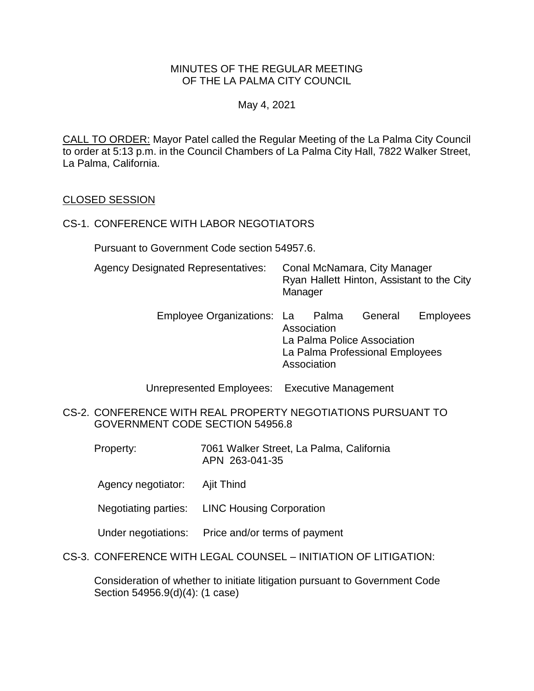### MINUTES OF THE REGULAR MEETING OF THE LA PALMA CITY COUNCIL

May 4, 2021

CALL TO ORDER: Mayor Patel called the Regular Meeting of the La Palma City Council to order at 5:13 p.m. in the Council Chambers of La Palma City Hall, 7822 Walker Street, La Palma, California.

### CLOSED SESSION

#### CS-1. CONFERENCE WITH LABOR NEGOTIATORS

Pursuant to Government Code section 54957.6.

| <b>Agency Designated Representatives:</b> | Conal McNamara, City Manager               |
|-------------------------------------------|--------------------------------------------|
|                                           | Ryan Hallett Hinton, Assistant to the City |
|                                           | Manager                                    |

Employee Organizations: La Palma General Employees Association La Palma Police Association La Palma Professional Employees Association

Unrepresented Employees: Executive Management

- CS-2. CONFERENCE WITH REAL PROPERTY NEGOTIATIONS PURSUANT TO GOVERNMENT CODE SECTION 54956.8
	- Property: 7061 Walker Street, La Palma, California APN 263-041-35
	- Agency negotiator: Ajit Thind
	- Negotiating parties: LINC Housing Corporation
	- Under negotiations: Price and/or terms of payment
- CS-3. CONFERENCE WITH LEGAL COUNSEL INITIATION OF LITIGATION:

Consideration of whether to initiate litigation pursuant to Government Code Section 54956.9(d)(4): (1 case)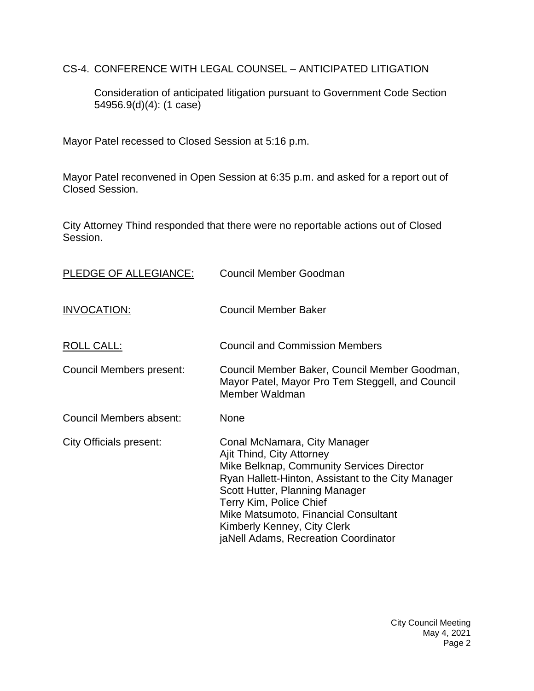CS-4. CONFERENCE WITH LEGAL COUNSEL – ANTICIPATED LITIGATION

Consideration of anticipated litigation pursuant to Government Code Section 54956.9(d)(4): (1 case)

Mayor Patel recessed to Closed Session at 5:16 p.m.

Mayor Patel reconvened in Open Session at 6:35 p.m. and asked for a report out of Closed Session.

City Attorney Thind responded that there were no reportable actions out of Closed Session.

| PLEDGE OF ALLEGIANCE:    | Council Member Goodman                                                                                                                                                                                                                                                                                                                   |
|--------------------------|------------------------------------------------------------------------------------------------------------------------------------------------------------------------------------------------------------------------------------------------------------------------------------------------------------------------------------------|
| <b>INVOCATION:</b>       | <b>Council Member Baker</b>                                                                                                                                                                                                                                                                                                              |
| <u>ROLL CALL:</u>        | <b>Council and Commission Members</b>                                                                                                                                                                                                                                                                                                    |
| Council Members present: | Council Member Baker, Council Member Goodman,<br>Mayor Patel, Mayor Pro Tem Steggell, and Council<br>Member Waldman                                                                                                                                                                                                                      |
| Council Members absent:  | <b>None</b>                                                                                                                                                                                                                                                                                                                              |
| City Officials present:  | Conal McNamara, City Manager<br>Ajit Thind, City Attorney<br>Mike Belknap, Community Services Director<br>Ryan Hallett-Hinton, Assistant to the City Manager<br>Scott Hutter, Planning Manager<br>Terry Kim, Police Chief<br>Mike Matsumoto, Financial Consultant<br>Kimberly Kenney, City Clerk<br>jaNell Adams, Recreation Coordinator |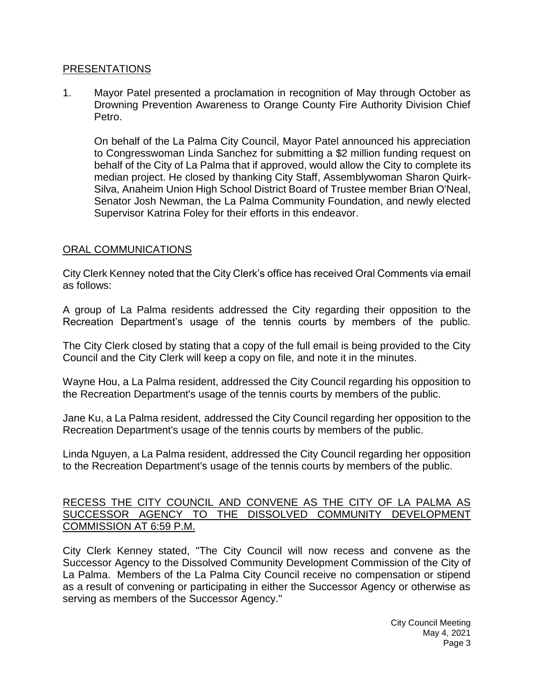#### [PRESENTATIONS](https://lapalma.granicus.com/MediaPlayer.php?view_id=&clip_id=1262&meta_id=169718)

1. [Mayor Patel presented a proclamation in recognition of May through October as](https://lapalma.granicus.com/MediaPlayer.php?view_id=&clip_id=1262&meta_id=169719)  [Drowning Prevention Awareness to Orange County Fire Authority Division Chief](https://lapalma.granicus.com/MediaPlayer.php?view_id=&clip_id=1262&meta_id=169719)  [Petro.](https://lapalma.granicus.com/MediaPlayer.php?view_id=&clip_id=1262&meta_id=169719)

On behalf of the La Palma City Council, Mayor Patel announced his appreciation to Congresswoman Linda Sanchez for submitting a \$2 million funding request on behalf of the City of La Palma that if approved, would allow the City to complete its median project. He closed by thanking City Staff, Assemblywoman Sharon Quirk-Silva, Anaheim Union High School District Board of Trustee member Brian O'Neal, Senator Josh Newman, the La Palma Community Foundation, and newly elected Supervisor Katrina Foley for their efforts in this endeavor.

#### [ORAL COMMUNICATIONS](https://lapalma.granicus.com/MediaPlayer.php?view_id=&clip_id=1262&meta_id=169721)

City Clerk Kenney noted that the City Clerk's office has received Oral Comments via email as follows:

A group of La Palma residents addressed the City regarding their opposition to the Recreation Department's usage of the tennis courts by members of the public.

The City Clerk closed by stating that a copy of the full email is being provided to the City Council and the City Clerk will keep a copy on file, and note it in the minutes.

Wayne Hou, a La Palma resident, addressed the City Council regarding his opposition to the Recreation Department's usage of the tennis courts by members of the public.

Jane Ku, a La Palma resident, addressed the City Council regarding her opposition to the Recreation Department's usage of the tennis courts by members of the public.

Linda Nguyen, a La Palma resident, addressed the City Council regarding her opposition to the Recreation Department's usage of the tennis courts by members of the public.

### [RECESS THE CITY COUNCIL AND CONVENE AS THE CITY OF LA PALMA AS](https://lapalma.granicus.com/MediaPlayer.php?view_id=&clip_id=1262&meta_id=169722)  [SUCCESSOR AGENCY TO THE DISSOLVED COMMUNITY DEVELOPMENT](https://lapalma.granicus.com/MediaPlayer.php?view_id=&clip_id=1262&meta_id=169722)  [COMMISSION AT 6:59 P.M.](https://lapalma.granicus.com/MediaPlayer.php?view_id=&clip_id=1262&meta_id=169722)

[City Clerk Kenney stated, "The City Council will now recess and convene as the](https://lapalma.granicus.com/MediaPlayer.php?view_id=&clip_id=1262&meta_id=169723)  [Successor Agency to the Dissolved Community](https://lapalma.granicus.com/MediaPlayer.php?view_id=&clip_id=1262&meta_id=169723) Development Commission of the City of La Palma. [Members of the La Palma City Council receive no compensation or stipend](https://lapalma.granicus.com/MediaPlayer.php?view_id=&clip_id=1262&meta_id=169723)  [as a result of convening or participating in either the Successor Agency or otherwise as](https://lapalma.granicus.com/MediaPlayer.php?view_id=&clip_id=1262&meta_id=169723)  [serving as members of the Successor Agency."](https://lapalma.granicus.com/MediaPlayer.php?view_id=&clip_id=1262&meta_id=169723)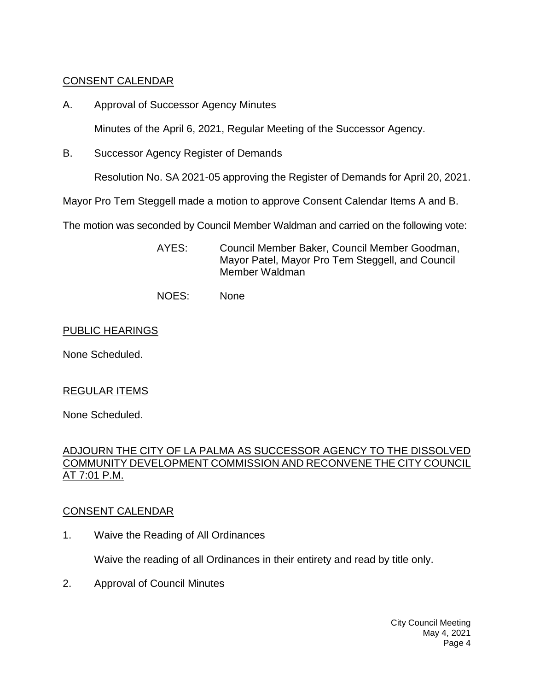# [CONSENT CALENDAR](https://lapalma.granicus.com/MediaPlayer.php?view_id=&clip_id=1262&meta_id=169724)

A. Approval of Successor Agency Minutes

Minutes of the April 6, 2021, Regular Meeting of the Successor Agency.

B. Successor Agency Register of Demands

Resolution No. SA 2021-05 approving the Register of Demands for April 20, 2021.

Mayor Pro Tem Steggell made a motion to approve Consent Calendar Items A and B.

The motion was seconded by Council Member Waldman and carried on the following vote:

- AYES: Council Member Baker, Council Member Goodman, Mayor Patel, Mayor Pro Tem Steggell, and Council Member Waldman
- NOES: None

## PUBLIC HEARINGS

None Scheduled.

# REGULAR ITEMS

None Scheduled.

## [ADJOURN THE CITY OF LA PALMA AS SUCCESSOR AGENCY TO THE DISSOLVED](https://lapalma.granicus.com/MediaPlayer.php?view_id=&clip_id=1262&meta_id=169729)  [COMMUNITY DEVELOPMENT COMMISSION AND RECONVENE THE CITY COUNCIL](https://lapalma.granicus.com/MediaPlayer.php?view_id=&clip_id=1262&meta_id=169729)  [AT 7:01 P.M.](https://lapalma.granicus.com/MediaPlayer.php?view_id=&clip_id=1262&meta_id=169729)

# [CONSENT CALENDAR](https://lapalma.granicus.com/MediaPlayer.php?view_id=&clip_id=1262&meta_id=169731)

1. Waive the Reading of All Ordinances

Waive the reading of all Ordinances in their entirety and read by title only.

2. Approval of Council Minutes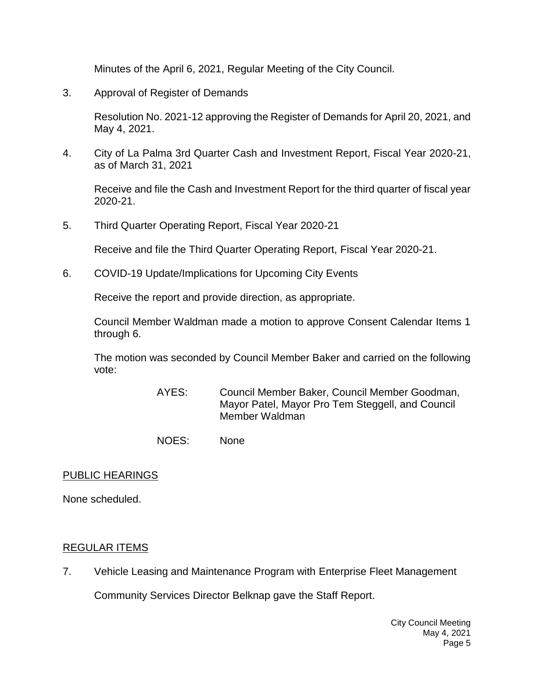Minutes of the April 6, 2021, Regular Meeting of the City Council.

3. Approval of Register of Demands

Resolution No. 2021-12 approving the Register of Demands for April 20, 2021, and May 4, 2021.

4. City of La Palma 3rd Quarter Cash and Investment Report, Fiscal Year 2020-21, as of March 31, 2021

Receive and file the Cash and Investment Report for the third quarter of fiscal year 2020-21.

5. Third Quarter Operating Report, Fiscal Year 2020-21

Receive and file the Third Quarter Operating Report, Fiscal Year 2020-21.

6. COVID-19 Update/Implications for Upcoming City Events

Receive the report and provide direction, as appropriate.

Council Member Waldman made a motion to approve Consent Calendar Items 1 through 6.

The motion was seconded by Council Member Baker and carried on the following vote:

- AYES: Council Member Baker, Council Member Goodman, Mayor Patel, Mayor Pro Tem Steggell, and Council Member Waldman
- NOES: None

### PUBLIC HEARINGS

None scheduled.

### [REGULAR ITEMS](https://lapalma.granicus.com/MediaPlayer.php?view_id=&clip_id=1262&meta_id=169739)

7. [Vehicle Leasing and Maintenance Program with Enterprise Fleet Management](https://lapalma.granicus.com/MediaPlayer.php?view_id=&clip_id=1262&meta_id=169740)

Community Services Director Belknap gave the Staff Report.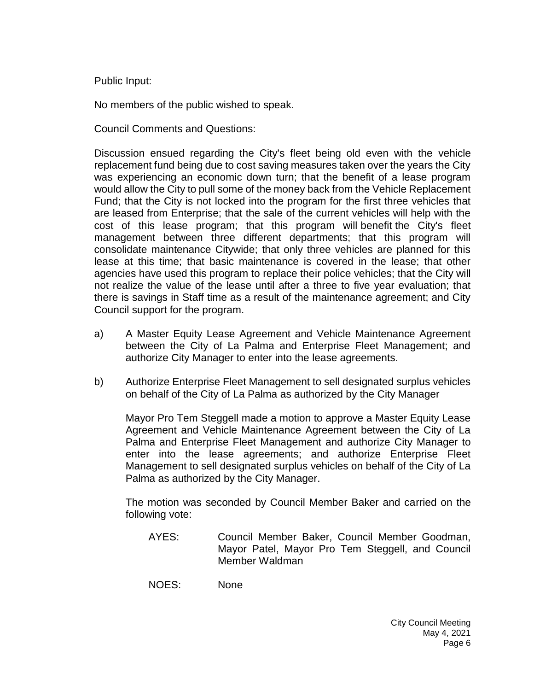Public Input:

No members of the public wished to speak.

Council Comments and Questions:

Discussion ensued regarding the City's fleet being old even with the vehicle replacement fund being due to cost saving measures taken over the years the City was experiencing an economic down turn; that the benefit of a lease program would allow the City to pull some of the money back from the Vehicle Replacement Fund; that the City is not locked into the program for the first three vehicles that are leased from Enterprise; that the sale of the current vehicles will help with the cost of this lease program; that this program will benefit the City's fleet management between three different departments; that this program will consolidate maintenance Citywide; that only three vehicles are planned for this lease at this time; that basic maintenance is covered in the lease; that other agencies have used this program to replace their police vehicles; that the City will not realize the value of the lease until after a three to five year evaluation; that there is savings in Staff time as a result of the maintenance agreement; and City Council support for the program.

- a) A Master Equity Lease Agreement and Vehicle Maintenance Agreement between the City of La Palma and Enterprise Fleet Management; and authorize City Manager to enter into the lease agreements.
- b) Authorize Enterprise Fleet Management to sell designated surplus vehicles on behalf of the City of La Palma as authorized by the City Manager

Mayor Pro Tem Steggell made a motion to approve a Master Equity Lease Agreement and Vehicle Maintenance Agreement between the City of La Palma and Enterprise Fleet Management and authorize City Manager to enter into the lease agreements; and authorize Enterprise Fleet Management to sell designated surplus vehicles on behalf of the City of La Palma as authorized by the City Manager.

The motion was seconded by Council Member Baker and carried on the following vote:

AYES: Council Member Baker, Council Member Goodman, Mayor Patel, Mayor Pro Tem Steggell, and Council Member Waldman

NOES: None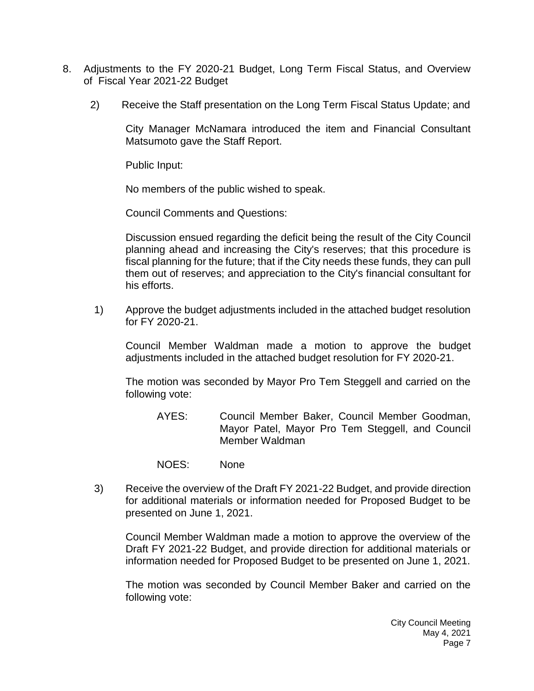- 8. [Adjustments to the FY 2020-21 Budget, Long Term Fiscal Status, and Overview](https://lapalma.granicus.com/MediaPlayer.php?view_id=&clip_id=1262&meta_id=169743)  of [Fiscal Year 2021-22 Budget](https://lapalma.granicus.com/MediaPlayer.php?view_id=&clip_id=1262&meta_id=169743)
	- 2) Receive the Staff presentation on the Long Term Fiscal Status Update; and

City Manager McNamara introduced the item and Financial Consultant Matsumoto gave the Staff Report.

Public Input:

No members of the public wished to speak.

Council Comments and Questions:

Discussion ensued regarding the deficit being the result of the City Council planning ahead and increasing the City's reserves; that this procedure is fiscal planning for the future; that if the City needs these funds, they can pull them out of reserves; and appreciation to the City's financial consultant for his efforts.

1) Approve the budget adjustments included in the attached budget resolution for FY 2020-21.

Council Member Waldman made a motion to approve the budget adjustments included in the attached budget resolution for FY 2020-21.

The motion was seconded by Mayor Pro Tem Steggell and carried on the following vote:

- AYES: Council Member Baker, Council Member Goodman, Mayor Patel, Mayor Pro Tem Steggell, and Council Member Waldman
- NOES: None
- 3) [Receive the overview of the Draft FY 2021-22 Budget, and provide direction](https://lapalma.granicus.com/MediaPlayer.php?view_id=&clip_id=1262&meta_id=169746)  [for additional materials or information needed for Proposed Budget to be](https://lapalma.granicus.com/MediaPlayer.php?view_id=&clip_id=1262&meta_id=169746) [presented on June 1, 2021.](https://lapalma.granicus.com/MediaPlayer.php?view_id=&clip_id=1262&meta_id=169746)

Council Member Waldman made a motion to approve the overview of the Draft FY 2021-22 Budget, and provide direction for additional materials or information needed for Proposed Budget to be presented on June 1, 2021.

The motion was seconded by Council Member Baker and carried on the following vote: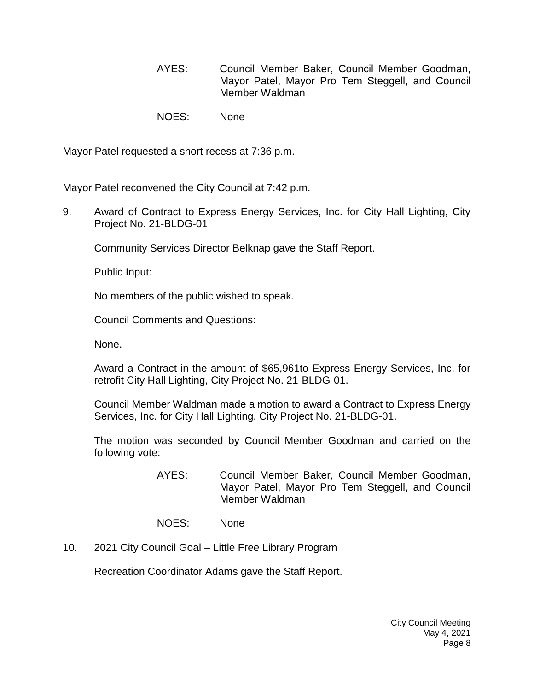- AYES: Council Member Baker, Council Member Goodman, Mayor Patel, Mayor Pro Tem Steggell, and Council Member Waldman
- NOES: None

Mayor Patel requested a short recess at 7:36 p.m.

Mayor Patel reconvened the City Council at 7:42 p.m.

9. [Award of Contract to Express Energy Services, Inc. for City Hall Lighting, City](https://lapalma.granicus.com/MediaPlayer.php?view_id=&clip_id=1262&meta_id=169747)  [Project No. 21-BLDG-01](https://lapalma.granicus.com/MediaPlayer.php?view_id=&clip_id=1262&meta_id=169747)

Community Services Director Belknap gave the Staff Report.

Public Input:

No members of the public wished to speak.

Council Comments and Questions:

None.

Award a Contract in the amount of \$65,961to Express Energy Services, Inc. for retrofit City Hall Lighting, City Project No. 21-BLDG-01.

Council Member Waldman made a motion to award a Contract to Express Energy Services, Inc. for City Hall Lighting, City Project No. 21-BLDG-01.

The motion was seconded by Council Member Goodman and carried on the following vote:

- AYES: Council Member Baker, Council Member Goodman, Mayor Patel, Mayor Pro Tem Steggell, and Council Member Waldman
- NOES: None
- 10. 2021 City Council Goal [Little Free Library Program](https://lapalma.granicus.com/MediaPlayer.php?view_id=&clip_id=1262&meta_id=169748)

Recreation Coordinator Adams gave the Staff Report.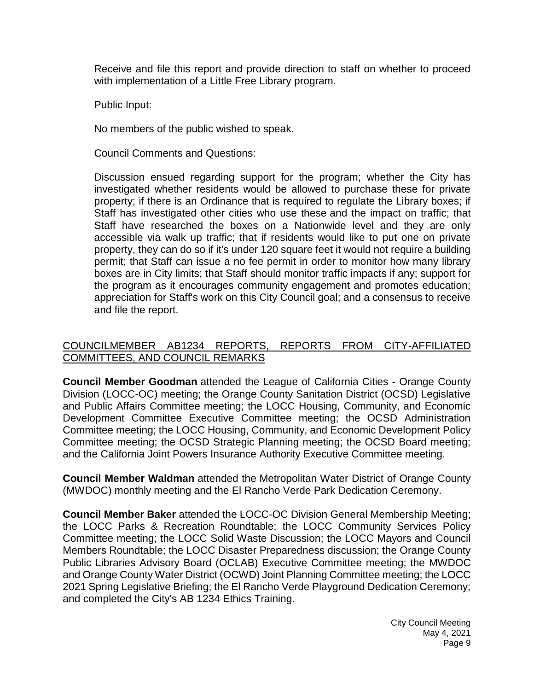Receive and file this report and provide direction to staff on whether to proceed with implementation of a Little Free Library program.

Public Input:

No members of the public wished to speak.

Council Comments and Questions:

Discussion ensued regarding support for the program; whether the City has investigated whether residents would be allowed to purchase these for private property; if there is an Ordinance that is required to regulate the Library boxes; if Staff has investigated other cities who use these and the impact on traffic; that Staff have researched the boxes on a Nationwide level and they are only accessible via walk up traffic; that if residents would like to put one on private property, they can do so if it's under 120 square feet it would not require a building permit; that Staff can issue a no fee permit in order to monitor how many library boxes are in City limits; that Staff should monitor traffic impacts if any; support for the program as it encourages community engagement and promotes education; appreciation for Staff's work on this City Council goal; and a consensus to receive and file the report.

## [COUNCILMEMBER AB1234 REPORTS, REPORTS FROM CITY-AFFILIATED](https://lapalma.granicus.com/MediaPlayer.php?view_id=&clip_id=1262&meta_id=169749)  [COMMITTEES, AND COUNCIL REMARKS](https://lapalma.granicus.com/MediaPlayer.php?view_id=&clip_id=1262&meta_id=169749)

**Council Member Goodman** attended the League of California Cities - Orange County Division (LOCC-OC) meeting; the Orange County Sanitation District (OCSD) Legislative and Public Affairs Committee meeting; the LOCC Housing, Community, and Economic Development Committee Executive Committee meeting; the OCSD Administration Committee meeting; the LOCC Housing, Community, and Economic Development Policy Committee meeting; the OCSD Strategic Planning meeting; the OCSD Board meeting; and the California Joint Powers Insurance Authority Executive Committee meeting.

**Council Member Waldman** attended the Metropolitan Water District of Orange County (MWDOC) monthly meeting and the El Rancho Verde Park Dedication Ceremony.

**Council Member Baker** attended the LOCC-OC Division General Membership Meeting; the LOCC Parks & Recreation Roundtable; the LOCC Community Services Policy Committee meeting; the LOCC Solid Waste Discussion; the LOCC Mayors and Council Members Roundtable; the LOCC Disaster Preparedness discussion; the Orange County Public Libraries Advisory Board (OCLAB) Executive Committee meeting; the MWDOC and Orange County Water District (OCWD) Joint Planning Committee meeting; the LOCC 2021 Spring Legislative Briefing; the El Rancho Verde Playground Dedication Ceremony; and completed the City's AB 1234 Ethics Training.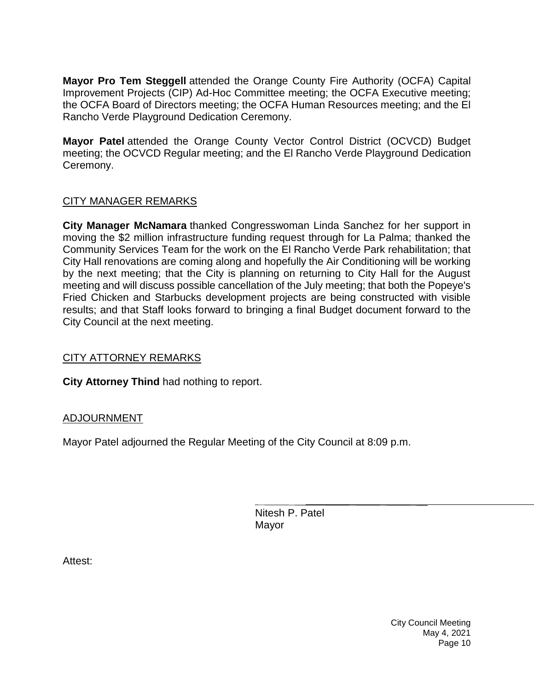**Mayor Pro Tem Steggell** attended the Orange County Fire Authority (OCFA) Capital Improvement Projects (CIP) Ad-Hoc Committee meeting; the OCFA Executive meeting; the OCFA Board of Directors meeting; the OCFA Human Resources meeting; and the El Rancho Verde Playground Dedication Ceremony.

**Mayor Patel** attended the Orange County Vector Control District (OCVCD) Budget meeting; the OCVCD Regular meeting; and the El Rancho Verde Playground Dedication Ceremony.

# [CITY MANAGER REMARKS](https://lapalma.granicus.com/MediaPlayer.php?view_id=&clip_id=1262&meta_id=169750)

**City Manager McNamara** thanked Congresswoman Linda Sanchez for her support in moving the \$2 million infrastructure funding request through for La Palma; thanked the Community Services Team for the work on the El Rancho Verde Park rehabilitation; that City Hall renovations are coming along and hopefully the Air Conditioning will be working by the next meeting; that the City is planning on returning to City Hall for the August meeting and will discuss possible cancellation of the July meeting; that both the Popeye's Fried Chicken and Starbucks development projects are being constructed with visible results; and that Staff looks forward to bringing a final Budget document forward to the City Council at the next meeting.

# [CITY ATTORNEY REMARKS](https://lapalma.granicus.com/MediaPlayer.php?view_id=&clip_id=1262&meta_id=169751)

**City Attorney Thind** had nothing to report.

# [ADJOURNMENT](https://lapalma.granicus.com/MediaPlayer.php?view_id=&clip_id=1262&meta_id=169752)

Mayor Patel adjourned the Regular Meeting of the City Council at 8:09 p.m.

Nitesh P. Patel Mayor

Attest: